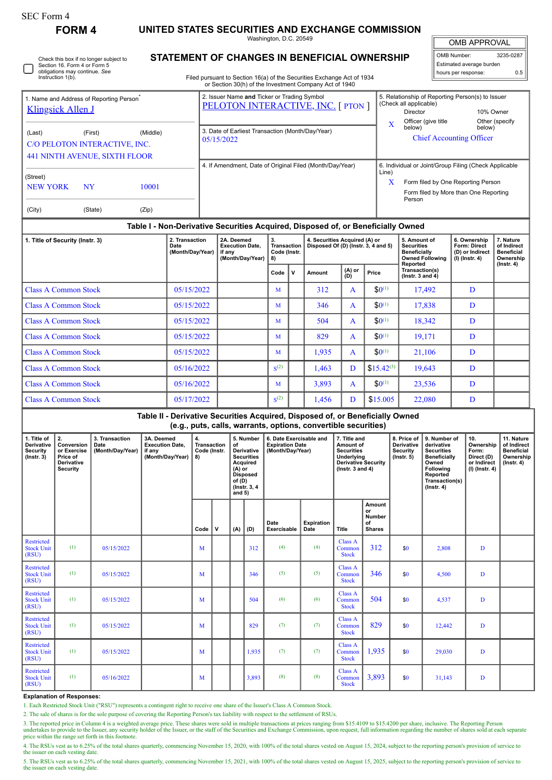| orm<br>. . |  |
|------------|--|
|------------|--|

I

Check this box if no longer subject to Section 16. Form 4 or Form 5 obligations may continue. *See* Instruction 1(b).

**FORM 4 UNITED STATES SECURITIES AND EXCHANGE COMMISSION**

Washington, D.C. 20549 **STATEMENT OF CHANGES IN BENEFICIAL OWNERSHIP**

OMB APPROVAL OMB Number: 3235-0287 Estimated average burden hours per response: 0.5

I

| Filed pursuant to Section 16(a) of the Securities Exchange Act of 1934 |
|------------------------------------------------------------------------|
| or Section 30(h) of the Investment Company Act of 1940                 |

| 1. Name and Address of Reporting Person <sup>®</sup><br><b>Klingsick Allen J</b> |                                                                                              |  | 2. Issuer Name and Ticker or Trading Symbol<br><b>PELOTON INTERACTIVE, INC. [ PTON ]</b> |                                                                                                                                                              | 5. Relationship of Reporting Person(s) to Issuer<br>(Check all applicable)<br>Director<br>Officer (give title | 10% Owner<br>Other (specify) |  |  |
|----------------------------------------------------------------------------------|----------------------------------------------------------------------------------------------|--|------------------------------------------------------------------------------------------|--------------------------------------------------------------------------------------------------------------------------------------------------------------|---------------------------------------------------------------------------------------------------------------|------------------------------|--|--|
| (Last)                                                                           | (Middle)<br>(First)<br>C/O PELOTON INTERACTIVE, INC.<br><b>441 NINTH AVENUE, SIXTH FLOOR</b> |  | 3. Date of Earliest Transaction (Month/Day/Year)<br>05/15/2022                           | $\mathbf x$                                                                                                                                                  | below)<br><b>Chief Accounting Officer</b>                                                                     | below)                       |  |  |
| (Street)<br>NEW YORK<br><b>NY</b><br>10001<br>(City)<br>(State)<br>(Zip)         |                                                                                              |  | 4. If Amendment, Date of Original Filed (Month/Day/Year)                                 | 6. Individual or Joint/Group Filing (Check Applicable<br>Line)<br>X<br>Form filed by One Reporting Person<br>Form filed by More than One Reporting<br>Person |                                                                                                               |                              |  |  |

## **Table I - Non-Derivative Securities Acquired, Disposed of, or Beneficially Owned**

| 1. Title of Security (Instr. 3) | 2. Transaction<br>Date<br>(Month/Day/Year) | 2A. Deemed<br><b>Execution Date.</b><br>if any<br>(Month/Day/Year) | 3.<br><b>Transaction</b><br>Code (Instr.<br>8) |   | 4. Securities Acquired (A) or<br>Disposed Of (D) (Instr. 3, 4 and 5) |                 |                | 5. Amount of<br><b>Securities</b><br>Beneficially<br><b>Owned Following</b><br>Reported | 6. Ownership<br>Form: Direct<br>(D) or Indirect<br>(I) (Instr. 4) | 7. Nature<br>of Indirect<br><b>Beneficial</b><br>Ownership<br>$($ lnstr. 4 $)$ |
|---------------------------------|--------------------------------------------|--------------------------------------------------------------------|------------------------------------------------|---|----------------------------------------------------------------------|-----------------|----------------|-----------------------------------------------------------------------------------------|-------------------------------------------------------------------|--------------------------------------------------------------------------------|
|                                 |                                            |                                                                    | Code                                           | v | Amount                                                               | $(A)$ or<br>(D) | Price          | Transaction(s)<br>$($ Instr. 3 and 4 $)$                                                |                                                                   |                                                                                |
| <b>Class A Common Stock</b>     | 05/15/2022                                 |                                                                    | M                                              |   | 312                                                                  | A               | $$0^{(1)}$$    | 17,492                                                                                  | D                                                                 |                                                                                |
| <b>Class A Common Stock</b>     | 05/15/2022                                 |                                                                    | M                                              |   | 346                                                                  | A               | $$0^{(1)}$$    | 17,838                                                                                  | D                                                                 |                                                                                |
| <b>Class A Common Stock</b>     | 05/15/2022                                 |                                                                    | M                                              |   | 504                                                                  | A               | $$0^{(1)}$$    | 18,342                                                                                  | D                                                                 |                                                                                |
| <b>Class A Common Stock</b>     | 05/15/2022                                 |                                                                    | M                                              |   | 829                                                                  | A               | $$0^{(1)}$$    | 19,171                                                                                  | D                                                                 |                                                                                |
| <b>Class A Common Stock</b>     | 05/15/2022                                 |                                                                    | M                                              |   | 1.935                                                                | $\mathbf{A}$    | $$0^{(1)}$$    | 21,106                                                                                  | D                                                                 |                                                                                |
| <b>Class A Common Stock</b>     | 05/16/2022                                 |                                                                    | S <sup>(2)</sup>                               |   | 1,463                                                                | D               | $$15.42^{(3)}$ | 19,643                                                                                  | D                                                                 |                                                                                |
| <b>Class A Common Stock</b>     | 05/16/2022                                 |                                                                    | M                                              |   | 3,893                                                                | A               | $$0^{(1)}$$    | 23,536                                                                                  | D                                                                 |                                                                                |
| <b>Class A Common Stock</b>     | 05/17/2022                                 |                                                                    | S <sup>(2)</sup>                               |   | 1,456                                                                | D               | \$15.005       | 22,080                                                                                  | D                                                                 |                                                                                |

## **Table II - Derivative Securities Acquired, Disposed of, or Beneficially Owned (e.g., puts, calls, warrants, options, convertible securities)**

| 1. Title of<br><b>Derivative</b><br><b>Security</b><br>$($ lnstr. $3)$ | 2.<br>Conversion<br>or Exercise<br>Price of<br>Derivative<br>Security | 3. Transaction<br>Date<br>(Month/Day/Year) | 3A. Deemed<br><b>Execution Date.</b><br>if any<br>(Month/Day/Year) | $\overline{\mathbf{4}}$ .<br>Transaction<br>Code (Instr.<br>8) |   | 5. Number<br>of<br><b>Derivative</b><br><b>Securities</b><br>Acquired<br>$(A)$ or<br><b>Disposed</b><br>of $(D)$<br>(Instr. 3, 4)<br>and $5)$ |       | 6. Date Exercisable and<br><b>Expiration Date</b><br>(Month/Day/Year) |                    | 7. Title and<br>Amount of<br><b>Securities</b><br>Underlying<br><b>Derivative Security</b><br>( $lnstr. 3 and 4$ ) |                                                      | 8. Price of<br><b>Derivative</b><br>Security<br>(Insert. 5) | 9. Number of<br>derivative<br><b>Securities</b><br><b>Beneficially</b><br>Owned<br>Following<br>Reported<br>Transaction(s)<br>$($ Instr. 4 $)$ | 10.<br>Ownership<br>Form:<br>Direct (D)<br>or Indirect<br>(I) (Instr. 4) | 11. Nature<br>of Indirect<br><b>Beneficial</b><br>Ownership<br>$($ lnstr. 4 $)$ |
|------------------------------------------------------------------------|-----------------------------------------------------------------------|--------------------------------------------|--------------------------------------------------------------------|----------------------------------------------------------------|---|-----------------------------------------------------------------------------------------------------------------------------------------------|-------|-----------------------------------------------------------------------|--------------------|--------------------------------------------------------------------------------------------------------------------|------------------------------------------------------|-------------------------------------------------------------|------------------------------------------------------------------------------------------------------------------------------------------------|--------------------------------------------------------------------------|---------------------------------------------------------------------------------|
|                                                                        |                                                                       |                                            |                                                                    | Code                                                           | v | (A)                                                                                                                                           | (D)   | Date<br>Exercisable                                                   | Expiration<br>Date | <b>Title</b>                                                                                                       | Amount<br>or<br><b>Number</b><br>of<br><b>Shares</b> |                                                             |                                                                                                                                                |                                                                          |                                                                                 |
| <b>Restricted</b><br><b>Stock Unit</b><br>(RSU)                        | (1)                                                                   | 05/15/2022                                 |                                                                    | M                                                              |   |                                                                                                                                               | 312   | (4)                                                                   | (4)                | <b>Class A</b><br>Common<br><b>Stock</b>                                                                           | 312                                                  | \$0                                                         | 2,808                                                                                                                                          | D                                                                        |                                                                                 |
| <b>Restricted</b><br><b>Stock Unit</b><br>(RSU)                        | (1)                                                                   | 05/15/2022                                 |                                                                    | М                                                              |   |                                                                                                                                               | 346   | (5)                                                                   | (5)                | <b>Class A</b><br>Common<br><b>Stock</b>                                                                           | 346                                                  | \$0                                                         | 4,500                                                                                                                                          | $\mathbf D$                                                              |                                                                                 |
| Restricted<br><b>Stock Unit</b><br>(RSU)                               | (1)                                                                   | 05/15/2022                                 |                                                                    | M                                                              |   |                                                                                                                                               | 504   | (6)                                                                   | (6)                | <b>Class A</b><br>Common<br><b>Stock</b>                                                                           | 504                                                  | \$0                                                         | 4,537                                                                                                                                          | D                                                                        |                                                                                 |
| <b>Restricted</b><br><b>Stock Unit</b><br>(RSU)                        | (1)                                                                   | 05/15/2022                                 |                                                                    | М                                                              |   |                                                                                                                                               | 829   | (7)                                                                   | (7)                | Class A<br>Common<br><b>Stock</b>                                                                                  | 829                                                  | \$0                                                         | 12,442                                                                                                                                         | D                                                                        |                                                                                 |
| <b>Restricted</b><br><b>Stock Unit</b><br>(RSU)                        | (1)                                                                   | 05/15/2022                                 |                                                                    | M                                                              |   |                                                                                                                                               | 1,935 | (7)                                                                   | (7)                | <b>Class A</b><br>Common<br><b>Stock</b>                                                                           | 1,935                                                | \$0                                                         | 29,030                                                                                                                                         | D                                                                        |                                                                                 |
| <b>Restricted</b><br><b>Stock Unit</b><br>(RSU)                        | (1)                                                                   | 05/16/2022                                 |                                                                    | M                                                              |   |                                                                                                                                               | 3,893 | (8)                                                                   | (8)                | Class A<br>Common<br><b>Stock</b>                                                                                  | 3,893                                                | \$0                                                         | 31,143                                                                                                                                         | $\mathbf D$                                                              |                                                                                 |

## **Explanation of Responses:**

1. Each Restricted Stock Unit ("RSU") represents a contingent right to receive one share of the Issuer's Class A Common Stock.

2. The sale of shares is for the sole purpose of covering the Reporting Person's tax liability with respect to the settlement of RSUs.

3. The reported price in Column 4 is a weighted average price. These shares were sold in multiple transactions at prices ranging from \$15.4109 to \$15.4200 per share, inclusive. The Reporting Person undertakes to provide to price within the range set forth in this footnote.

4. The RSUs vest as to 6.25% of the total shares quarterly, commencing November 15, 2020, with 100% of the total shares vested on August 15, 2024, subject to the reporting person's provision of service to the issuer on each vesting date.

5. The RSUs vest as to 6.25% of the total shares quarterly, commencing November 15, 2021, with 100% of the total shares vested on August 15, 2025, subject to the reporting person's provision of service to the issuer on each vesting date.